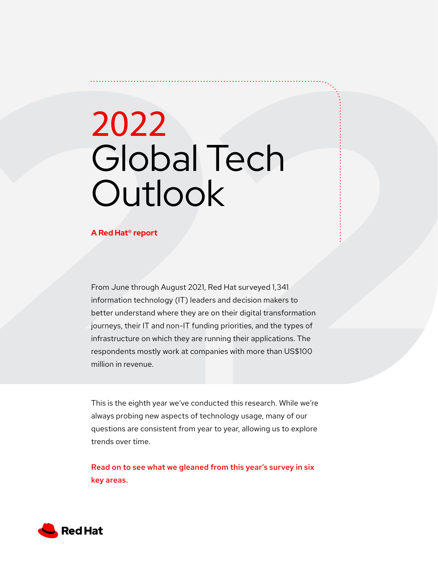# 2022 Global Tech **Outlook**

### **A Red Hat® report**

From June through August 2021, Red Hat surveyed 1,341 information technology (IT) leaders and decision makers to better understand where they are on their digital transformation journeys, their IT and non-IT funding priorities, and the types of infrastructure on which they are running their applications. The respondents mostly work at companies with more than US\$100 million in revenue.

This is the eighth year we've conducted this research. While we're always probing new aspects of technology usage, many of our questions are consistent from year to year, allowing us to explore trends over time.

Read on to see what we gleaned from this year's survey in six key areas.

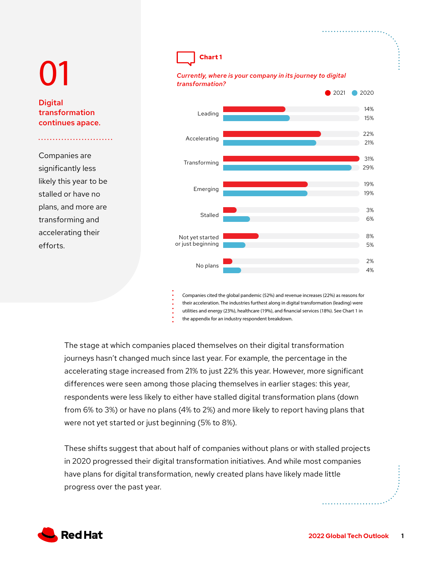# 01 **Digital** transformation continues apace. Companies are significantly less likely this year to be stalled or have no plans, and more are transforming and accelerating their efforts. ■ 2021 ● 2020 **Chart 1** *Currently, where is your company in its journey to digital transformation?* No plans Not yet started or just beginning Stalled Emerging Transforming Accelerating Leading

Companies cited the global pandemic (52%) and revenue increases (22%) as reasons for their acceleration. The industries furthest along in digital transformation (leading) were utilities and energy (23%), healthcare (19%), and financial services (18%). See Chart 1 in the appendix for an industry respondent breakdown.

The stage at which companies placed themselves on their digital transformation journeys hasn't changed much since last year. For example, the percentage in the accelerating stage increased from 21% to just 22% this year. However, more significant differences were seen among those placing themselves in earlier stages: this year, respondents were less likely to either have stalled digital transformation plans (down from 6% to 3%) or have no plans (4% to 2%) and more likely to report having plans that were not yet started or just beginning (5% to 8%).

These shifts suggest that about half of companies without plans or with stalled projects in 2020 progressed their digital transformation initiatives. And while most companies have plans for digital transformation, newly created plans have likely made little progress over the past year.



14% 15%

22% 21%

31% 29%

19% 19%

> 3% 6%

8% 5%

2% 4%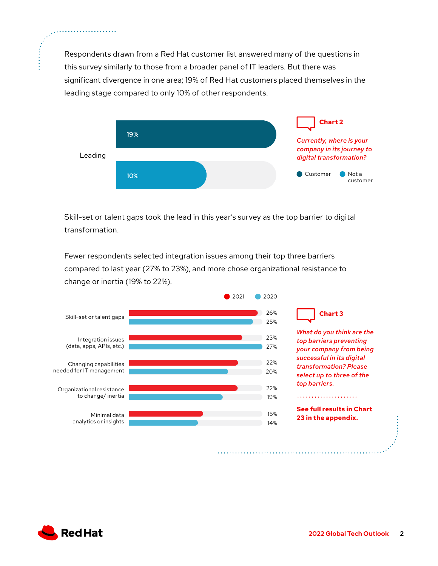Respondents drawn from a Red Hat customer list answered many of the questions in this survey similarly to those from a broader panel of IT leaders. But there was significant divergence in one area; 19% of Red Hat customers placed themselves in the leading stage compared to only 10% of other respondents.



Skill-set or talent gaps took the lead in this year's survey as the top barrier to digital transformation.

Fewer respondents selected integration issues among their top three barriers compared to last year (27% to 23%), and more chose organizational resistance to change or inertia (19% to 22%).



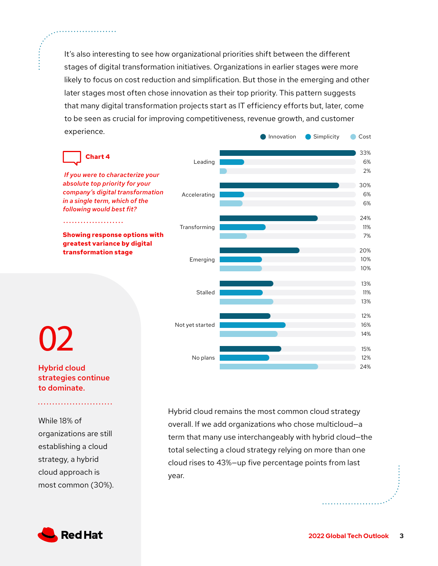It's also interesting to see how organizational priorities shift between the different stages of digital transformation initiatives. Organizations in earlier stages were more likely to focus on cost reduction and simplification. But those in the emerging and other later stages most often chose innovation as their top priority. This pattern suggests that many digital transformation projects start as IT efficiency efforts but, later, come to be seen as crucial for improving competitiveness, revenue growth, and customer experience. **Innovation** Simplicity Cost



Hybrid cloud strategies continue to dominate.

While 18% of organizations are still establishing a cloud strategy, a hybrid cloud approach is most common (30%). Hybrid cloud remains the most common cloud strategy overall. If we add organizations who chose multicloud—a term that many use interchangeably with hybrid cloud—the total selecting a cloud strategy relying on more than one cloud rises to 43%—up five percentage points from last year.

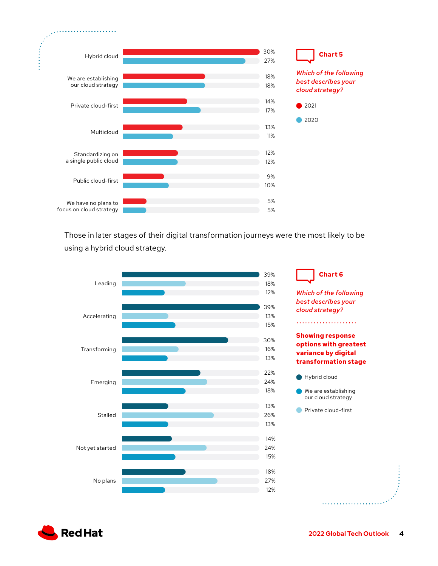

Those in later stages of their digital transformation journeys were the most likely to be using a hybrid cloud strategy.



*Which of the following best describes your cloud strategy?* **Showing response options with greatest variance by digital transformation stage** Hybrid cloud We are establishing our cloud strategy **Private cloud-first** 

**Chart 6**

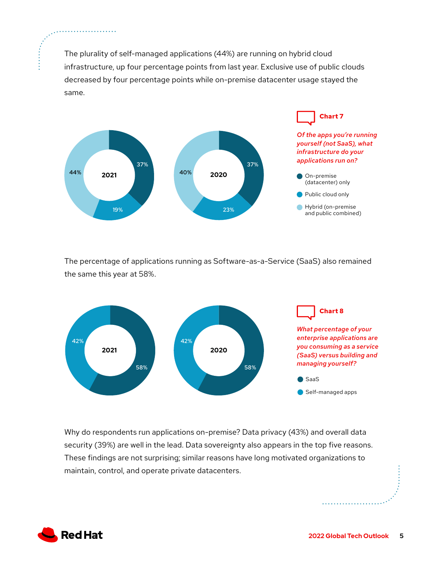The plurality of self-managed applications (44%) are running on hybrid cloud infrastructure, up four percentage points from last year. Exclusive use of public clouds decreased by four percentage points while on-premise datacenter usage stayed the same.



The percentage of applications running as Software-as-a-Service (SaaS) also remained the same this year at 58%.



Why do respondents run applications on-premise? Data privacy (43%) and overall data security (39%) are well in the lead. Data sovereignty also appears in the top five reasons. These findings are not surprising; similar reasons have long motivated organizations to maintain, control, and operate private datacenters.



. . . . . . . . . . . . . . . . .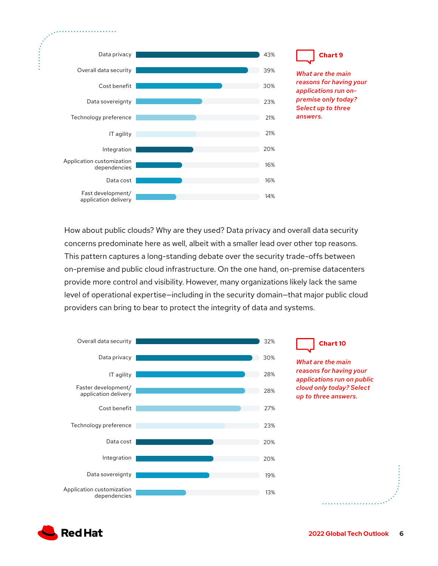

How about public clouds? Why are they used? Data privacy and overall data security concerns predominate here as well, albeit with a smaller lead over other top reasons. This pattern captures a long-standing debate over the security trade-offs between on-premise and public cloud infrastructure. On the one hand, on-premise datacenters provide more control and visibility. However, many organizations likely lack the same level of operational expertise—including in the security domain—that major public cloud providers can bring to bear to protect the integrity of data and systems.





**Chart 9**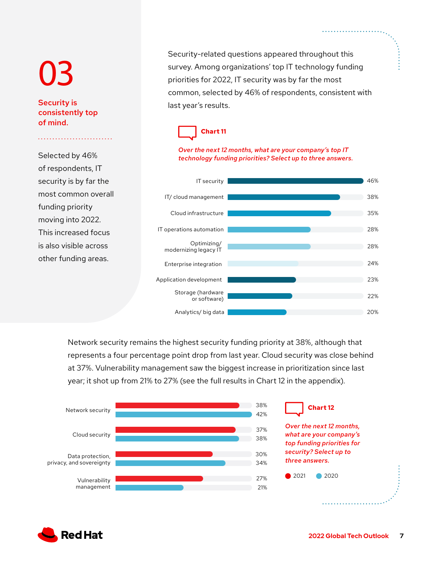# 03

## Security is consistently top of mind.

Selected by 46% of respondents, IT security is by far the most common overall funding priority moving into 2022. This increased focus is also visible across other funding areas.

Security-related questions appeared throughout this survey. Among organizations' top IT technology funding priorities for 2022, IT security was by far the most common, selected by 46% of respondents, consistent with last year's results.



### *Over the next 12 months, what are your company's top IT technology funding priorities? Select up to three answers.*



Network security remains the highest security funding priority at 38%, although that represents a four percentage point drop from last year. Cloud security was close behind at 37%. Vulnerability management saw the biggest increase in prioritization since last year; it shot up from 21% to 27% (see the full results in Chart 12 in the appendix).



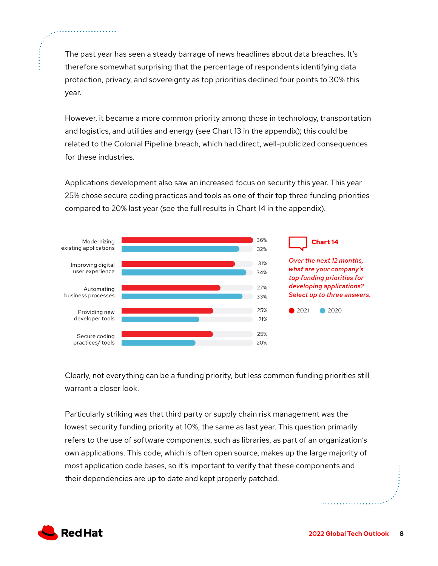The past year has seen a steady barrage of news headlines about data breaches. It's therefore somewhat surprising that the percentage of respondents identifying data protection, privacy, and sovereignty as top priorities declined four points to 30% this year.

However, it became a more common priority among those in technology, transportation and logistics, and utilities and energy (see Chart 13 in the appendix); this could be related to the Colonial Pipeline breach, which had direct, well-publicized consequences for these industries.

Applications development also saw an increased focus on security this year. This year 25% chose secure coding practices and tools as one of their top three funding priorities compared to 20% last year (see the full results in Chart 14 in the appendix).



Clearly, not everything can be a funding priority, but less common funding priorities still warrant a closer look.

Particularly striking was that third party or supply chain risk management was the lowest security funding priority at 10%, the same as last year. This question primarily refers to the use of software components, such as libraries, as part of an organization's own applications. This code, which is often open source, makes up the large majority of most application code bases, so it's important to verify that these components and their dependencies are up to date and kept properly patched.

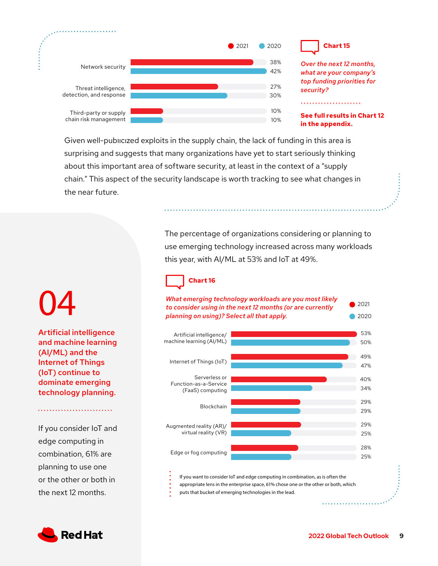

*Over the next 12 months, what are your company's top funding priorities for security?* 

**See full results in Chart 12 in the appendix.**

Given well-publicized exploits in the supply chain, the lack of funding in this area is surprising and suggests that many organizations have yet to start seriously thinking about this important area of software security, at least in the context of a "supply chain." This aspect of the security landscape is worth tracking to see what changes in the near future.

> The percentage of organizations considering or planning to use emerging technology increased across many workloads this year, with AI/ML at 53% and IoT at 49%.

# **Chart 16**



04 Artificial intelligence

and machine learning (AI/ML) and the Internet of Things (IoT) continue to dominate emerging technology planning.

If you consider IoT and edge computing in combination, 61% are planning to use one or the other or both in the next 12 months.

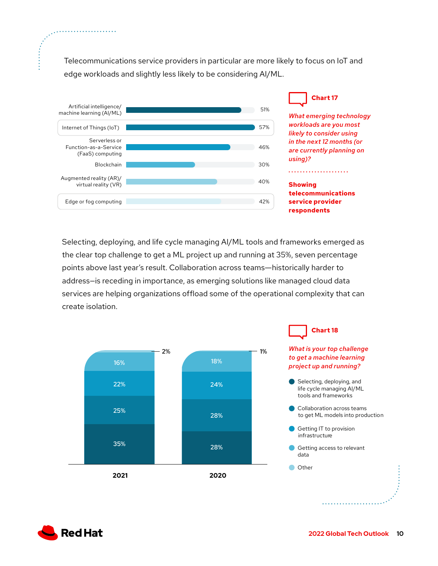Telecommunications service providers in particular are more likely to focus on IoT and edge workloads and slightly less likely to be considering AI/ML.



Selecting, deploying, and life cycle managing AI/ML tools and frameworks emerged as the clear top challenge to get a ML project up and running at 35%, seven percentage points above last year's result. Collaboration across teams―historically harder to address—is receding in importance, as emerging solutions like managed cloud data services are helping organizations offload some of the operational complexity that can create isolation.





. . . . . . . . . . . . . . . . . .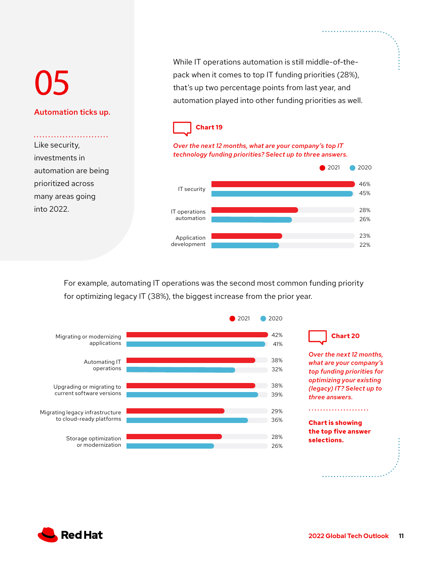# 05

## Automation ticks up.

Like security, investments in automation are being prioritized across many areas going into 2022.

While IT operations automation is still middle-of-thepack when it comes to top IT funding priorities (28%), that's up two percentage points from last year, and automation played into other funding priorities as well.



### *Over the next 12 months, what are your company's top IT technology funding priorities? Select up to three answers.*



For example, automating IT operations was the second most common funding priority for optimizing legacy IT (38%), the biggest increase from the prior year.



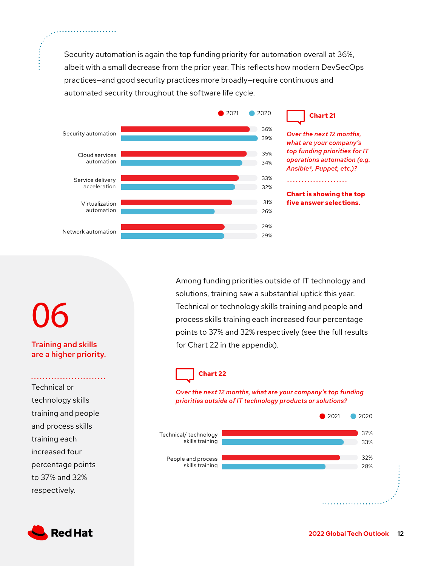Security automation is again the top funding priority for automation overall at 36%, albeit with a small decrease from the prior year. This reflects how modern DevSecOps practices—and good security practices more broadly—require continuous and automated security throughout the software life cycle.



*Over the next 12 months, what are your company's top funding priorities for IT operations automation (e.g. Ansible®, Puppet, etc.)?* 

**Chart is showing the top five answer selections.**

Among funding priorities outside of IT technology and solutions, training saw a substantial uptick this year. Technical or technology skills training and people and process skills training each increased four percentage points to 37% and 32% respectively (see the full results for Chart 22 in the appendix).

# **Chart 22**

*Over the next 12 months, what are your company's top funding priorities outside of IT technology products or solutions?*



# 06

Training and skills are a higher priority.

Technical or technology skills training and people and process skills training each increased four percentage points to 37% and 32% respectively.

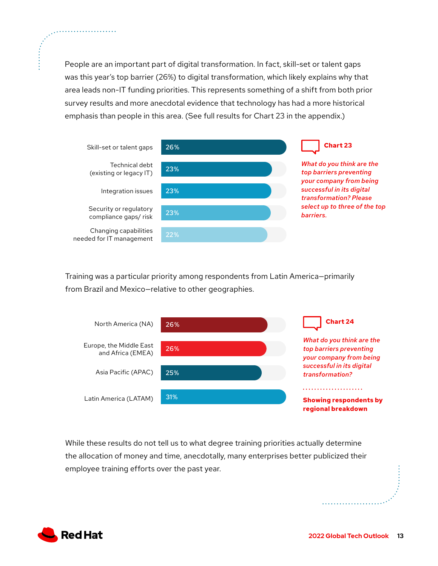People are an important part of digital transformation. In fact, skill-set or talent gaps was this year's top barrier (26%) to digital transformation, which likely explains why that area leads non-IT funding priorities. This represents something of a shift from both prior survey results and more anecdotal evidence that technology has had a more historical emphasis than people in this area. (See full results for Chart 23 in the appendix.)



Training was a particular priority among respondents from Latin America—primarily from Brazil and Mexico—relative to other geographies.



While these results do not tell us to what degree training priorities actually determine the allocation of money and time, anecdotally, many enterprises better publicized their employee training efforts over the past year.



. . . . . . . . . . . . . . . . . . .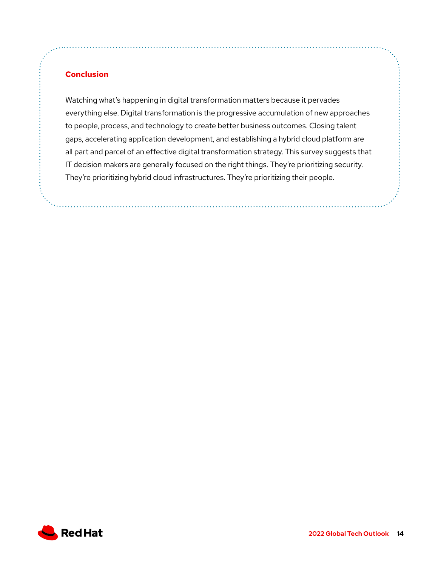## **Conclusion**

Watching what's happening in digital transformation matters because it pervades everything else. Digital transformation is the progressive accumulation of new approaches to people, process, and technology to create better business outcomes. Closing talent gaps, accelerating application development, and establishing a hybrid cloud platform are all part and parcel of an effective digital transformation strategy. This survey suggests that IT decision makers are generally focused on the right things. They're prioritizing security. They're prioritizing hybrid cloud infrastructures. They're prioritizing their people.

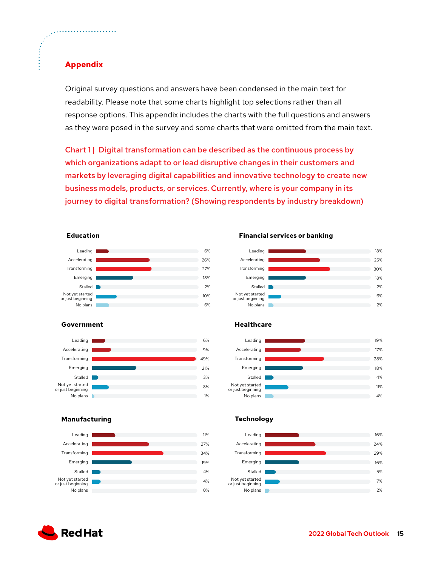## **Appendix**

Original survey questions and answers have been condensed in the main text for readability. Please note that some charts highlight top selections rather than all response options. This appendix includes the charts with the full questions and answers as they were posed in the survey and some charts that were omitted from the main text.

Chart 1 | Digital transformation can be described as the continuous process by which organizations adapt to or lead disruptive changes in their customers and markets by leveraging digital capabilities and innovative technology to create new business models, products, or services. Currently, where is your company in its journey to digital transformation? (Showing respondents by industry breakdown)

### **Education**



### **Government**



### **Manufacturing**



**Financial services or banking**



#### **Healthcare**



### **Technology**



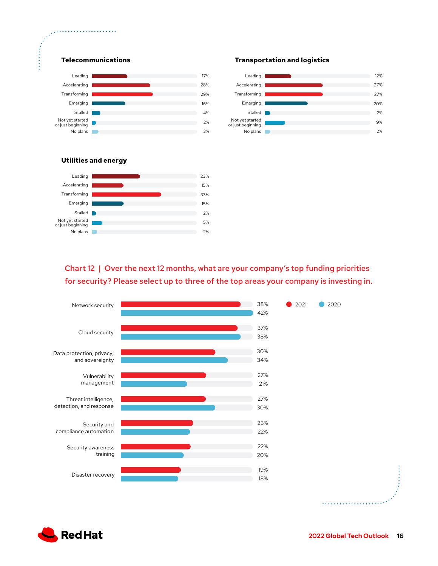



**Transportation and logistics**

### **Utilities and energy**



Chart 12 | Over the next 12 months, what are your company's top funding priorities for security? Please select up to three of the top areas your company is investing in.



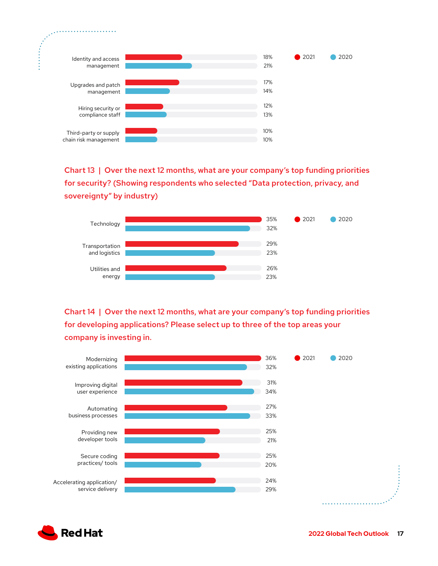

Chart 13 | Over the next 12 months, what are your company's top funding priorities for security? (Showing respondents who selected "Data protection, privacy, and sovereignty" by industry)



Chart 14 | Over the next 12 months, what are your company's top funding priorities for developing applications? Please select up to three of the top areas your company is investing in.



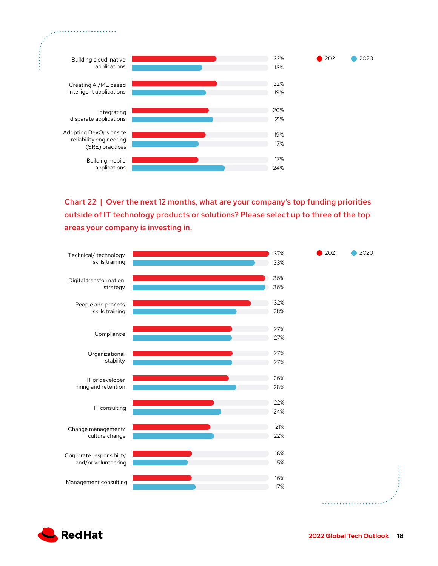

Chart 22 | Over the next 12 months, what are your company's top funding priorities outside of IT technology products or solutions? Please select up to three of the top areas your company is investing in.





. . . . . . . . . . . . . . . . .